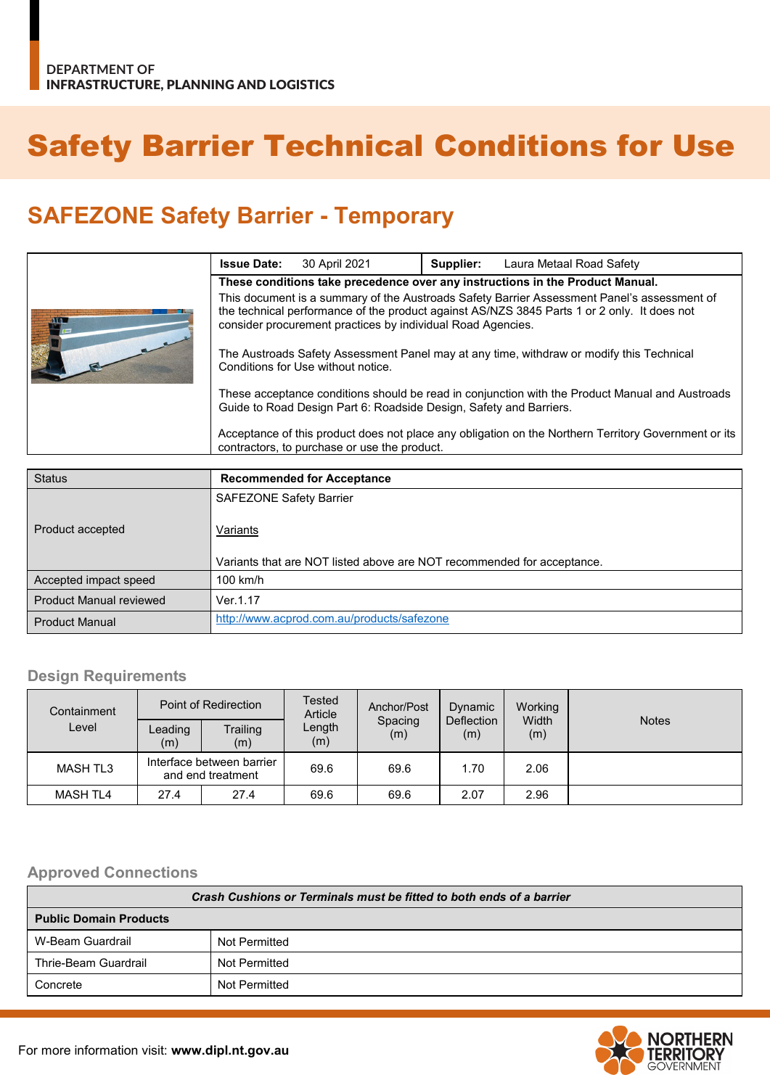# Safety Barrier Technical Conditions for Use

## **SAFEZONE Safety Barrier - Temporary**

|  | <b>Issue Date:</b>                                                                                                                                                                                                                                        | 30 April 2021 | Supplier: | Laura Metaal Road Safety |  |
|--|-----------------------------------------------------------------------------------------------------------------------------------------------------------------------------------------------------------------------------------------------------------|---------------|-----------|--------------------------|--|
|  | These conditions take precedence over any instructions in the Product Manual.                                                                                                                                                                             |               |           |                          |  |
|  | This document is a summary of the Austroads Safety Barrier Assessment Panel's assessment of<br>the technical performance of the product against AS/NZS 3845 Parts 1 or 2 only. It does not<br>consider procurement practices by individual Road Agencies. |               |           |                          |  |
|  | The Austroads Safety Assessment Panel may at any time, withdraw or modify this Technical<br>Conditions for Use without notice.                                                                                                                            |               |           |                          |  |
|  | These acceptance conditions should be read in conjunction with the Product Manual and Austroads<br>Guide to Road Design Part 6: Roadside Design, Safety and Barriers.                                                                                     |               |           |                          |  |
|  | Acceptance of this product does not place any obligation on the Northern Territory Government or its<br>contractors, to purchase or use the product.                                                                                                      |               |           |                          |  |

| <b>Status</b>                  | <b>Recommended for Acceptance</b>                                      |
|--------------------------------|------------------------------------------------------------------------|
|                                | <b>SAFEZONE Safety Barrier</b>                                         |
| Product accepted               | Variants                                                               |
|                                | Variants that are NOT listed above are NOT recommended for acceptance. |
| Accepted impact speed          | $100$ km/h                                                             |
| <b>Product Manual reviewed</b> | Ver.1.17                                                               |
| <b>Product Manual</b>          | http://www.acprod.com.au/products/safezone                             |

#### **Design Requirements**

| Containment     | Point of Redirection                           |                 | <b>Tested</b><br>Article | Anchor/Post    | Dynamic           | Working      |              |
|-----------------|------------------------------------------------|-----------------|--------------------------|----------------|-------------------|--------------|--------------|
| Level           | Leading<br>(m)                                 | Trailing<br>(m) | Length<br>(m)            | Spacing<br>(m) | Deflection<br>(m) | Width<br>(m) | <b>Notes</b> |
| <b>MASH TL3</b> | Interface between barrier<br>and end treatment |                 | 69.6                     | 69.6           | 1.70              | 2.06         |              |
| <b>MASH TL4</b> | 27.4                                           | 27.4            | 69.6                     | 69.6           | 2.07              | 2.96         |              |

#### **Approved Connections**

| Crash Cushions or Terminals must be fitted to both ends of a barrier |               |  |  |
|----------------------------------------------------------------------|---------------|--|--|
| <b>Public Domain Products</b>                                        |               |  |  |
| W-Beam Guardrail                                                     | Not Permitted |  |  |
| Thrie-Beam Guardrail                                                 | Not Permitted |  |  |
| Concrete                                                             | Not Permitted |  |  |